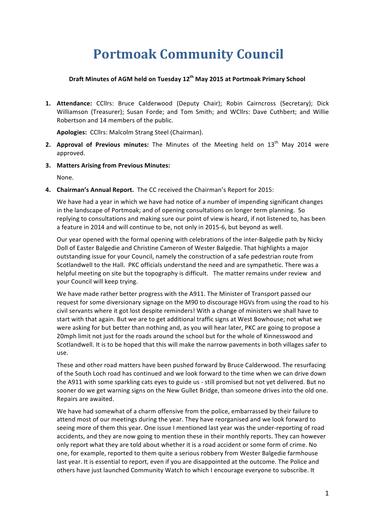# **Portmoak Community Council**

### **Draft Minutes of AGM held on Tuesday 12th May 2015 at Portmoak Primary School**

1. Attendance: CCllrs: Bruce Calderwood (Deputy Chair); Robin Cairncross (Secretary); Dick Williamson (Treasurer); Susan Forde; and Tom Smith; and WCllrs: Dave Cuthbert; and Willie Robertson and 14 members of the public.

Apologies: CCllrs: Malcolm Strang Steel (Chairman).

- **2. Approval of Previous minutes:** The Minutes of the Meeting held on 13<sup>th</sup> May 2014 were approved.
- **3. Matters Arising from Previous Minutes:**

None.

**4. Chairman's Annual Report.** The CC received the Chairman's Report for 2015:

We have had a year in which we have had notice of a number of impending significant changes in the landscape of Portmoak; and of opening consultations on longer term planning. So replying to consultations and making sure our point of view is heard, if not listened to, has been a feature in 2014 and will continue to be, not only in 2015-6, but beyond as well.

Our year opened with the formal opening with celebrations of the inter-Balgedie path by Nicky Doll of Easter Balgedie and Christine Cameron of Wester Balgedie. That highlights a major outstanding issue for your Council, namely the construction of a safe pedestrian route from Scotlandwell to the Hall. PKC officials understand the need and are sympathetic. There was a helpful meeting on site but the topography is difficult. The matter remains under review and your Council will keep trying.

We have made rather better progress with the A911. The Minister of Transport passed our request for some diversionary signage on the M90 to discourage HGVs from using the road to his civil servants where it got lost despite reminders! With a change of ministers we shall have to start with that again. But we are to get additional traffic signs at West Bowhouse; not what we were asking for but better than nothing and, as you will hear later, PKC are going to propose a 20mph limit not just for the roads around the school but for the whole of Kinnesswood and Scotlandwell. It is to be hoped that this will make the narrow pavements in both villages safer to use.

These and other road matters have been pushed forward by Bruce Calderwood. The resurfacing of the South Loch road has continued and we look forward to the time when we can drive down the A911 with some sparkling cats eyes to guide us - still promised but not yet delivered. But no sooner do we get warning signs on the New Gullet Bridge, than someone drives into the old one. Repairs are awaited.

We have had somewhat of a charm offensive from the police, embarrassed by their failure to attend most of our meetings during the year. They have reorganised and we look forward to seeing more of them this year. One issue I mentioned last year was the under-reporting of road accidents, and they are now going to mention these in their monthly reports. They can however only report what they are told about whether it is a road accident or some form of crime. No one, for example, reported to them quite a serious robbery from Wester Balgedie farmhouse last year. It is essential to report, even if you are disappointed at the outcome. The Police and others have just launched Community Watch to which I encourage everyone to subscribe. It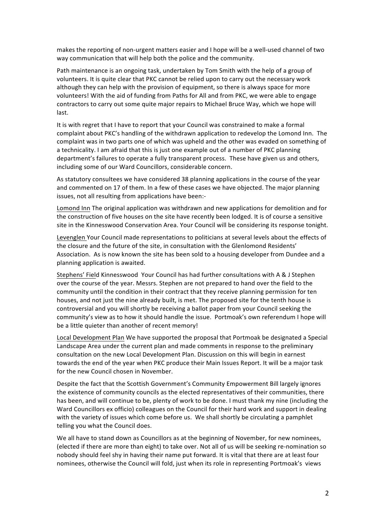makes the reporting of non-urgent matters easier and I hope will be a well-used channel of two way communication that will help both the police and the community.

Path maintenance is an ongoing task, undertaken by Tom Smith with the help of a group of volunteers. It is quite clear that PKC cannot be relied upon to carry out the necessary work although they can help with the provision of equipment, so there is always space for more volunteers! With the aid of funding from Paths for All and from PKC, we were able to engage contractors to carry out some quite major repairs to Michael Bruce Way, which we hope will last.

It is with regret that I have to report that your Council was constrained to make a formal complaint about PKC's handling of the withdrawn application to redevelop the Lomond Inn. The complaint was in two parts one of which was upheld and the other was evaded on something of a technicality. I am afraid that this is just one example out of a number of PKC planning department's failures to operate a fully transparent process. These have given us and others, including some of our Ward Councillors, considerable concern.

As statutory consultees we have considered 38 planning applications in the course of the year and commented on 17 of them. In a few of these cases we have objected. The major planning issues, not all resulting from applications have been:-

Lomond Inn The original application was withdrawn and new applications for demolition and for the construction of five houses on the site have recently been lodged. It is of course a sensitive site in the Kinnesswood Conservation Area. Your Council will be considering its response tonight.

Levenglen Your Council made representations to politicians at several levels about the effects of the closure and the future of the site, in consultation with the Glenlomond Residents' Association. As is now known the site has been sold to a housing developer from Dundee and a planning application is awaited.

Stephens' Field Kinnesswood Your Council has had further consultations with A & J Stephen over the course of the year. Messrs. Stephen are not prepared to hand over the field to the community until the condition in their contract that they receive planning permission for ten houses, and not just the nine already built, is met. The proposed site for the tenth house is controversial and you will shortly be receiving a ballot paper from your Council seeking the community's view as to how it should handle the issue. Portmoak's own referendum I hope will be a little quieter than another of recent memory!

Local Development Plan We have supported the proposal that Portmoak be designated a Special Landscape Area under the current plan and made comments in response to the preliminary consultation on the new Local Development Plan. Discussion on this will begin in earnest towards the end of the year when PKC produce their Main Issues Report. It will be a major task for the new Council chosen in November.

Despite the fact that the Scottish Government's Community Empowerment Bill largely ignores the existence of community councils as the elected representatives of their communities, there has been, and will continue to be, plenty of work to be done. I must thank my nine (including the Ward Councillors ex officio) colleagues on the Council for their hard work and support in dealing with the variety of issues which come before us. We shall shortly be circulating a pamphlet telling you what the Council does.

We all have to stand down as Councillors as at the beginning of November, for new nominees, (elected if there are more than eight) to take over. Not all of us will be seeking re-nomination so nobody should feel shy in having their name put forward. It is vital that there are at least four nominees, otherwise the Council will fold, just when its role in representing Portmoak's views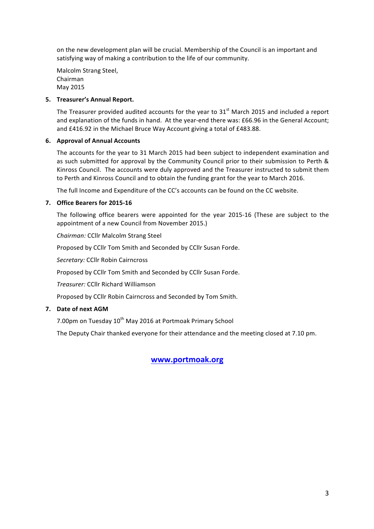on the new development plan will be crucial. Membership of the Council is an important and satisfying way of making a contribution to the life of our community.

Malcolm Strang Steel, Chairman May 2015

### **5.** Treasurer's Annual Report.

The Treasurer provided audited accounts for the year to  $31<sup>st</sup>$  March 2015 and included a report and explanation of the funds in hand. At the year-end there was: £66.96 in the General Account; and £416.92 in the Michael Bruce Way Account giving a total of £483.88.

#### **6. Approval of Annual Accounts**

The accounts for the year to 31 March 2015 had been subject to independent examination and as such submitted for approval by the Community Council prior to their submission to Perth & Kinross Council. The accounts were duly approved and the Treasurer instructed to submit them to Perth and Kinross Council and to obtain the funding grant for the year to March 2016.

The full Income and Expenditure of the CC's accounts can be found on the CC website.

### **7. Office Bearers for 2015-16**

The following office bearers were appointed for the year 2015-16 (These are subject to the appointment of a new Council from November 2015.)

*Chairman:* CCllr Malcolm Strang Steel

Proposed by CCllr Tom Smith and Seconded by CCllr Susan Forde.

**Secretary: CCllr Robin Cairncross** 

Proposed by CCllr Tom Smith and Seconded by CCllr Susan Forde.

*Treasurer:* CCllr Richard Williamson

Proposed by CCllr Robin Cairncross and Seconded by Tom Smith.

### **7.** Date of next AGM

7.00pm on Tuesday 10<sup>th</sup> May 2016 at Portmoak Primary School

The Deputy Chair thanked everyone for their attendance and the meeting closed at 7.10 pm.

# **www.portmoak.org**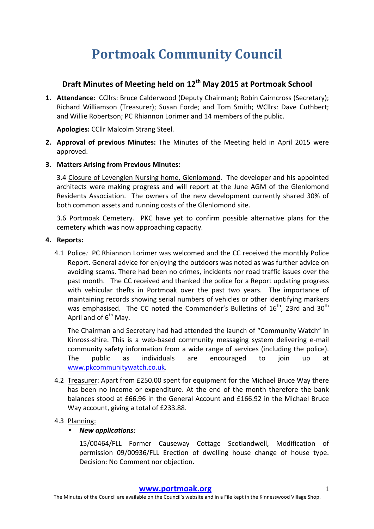# **Portmoak Community Council**

# **Draft Minutes of Meeting held on 12th May 2015 at Portmoak School**

1. **Attendance:** CCllrs: Bruce Calderwood (Deputy Chairman); Robin Cairncross (Secretary); Richard Williamson (Treasurer); Susan Forde; and Tom Smith; WCllrs: Dave Cuthbert; and Willie Robertson: PC Rhiannon Lorimer and 14 members of the public.

**Apologies: CCllr Malcolm Strang Steel.** 

- **2. Approval of previous Minutes:** The Minutes of the Meeting held in April 2015 were approved.
- **3. Matters Arising from Previous Minutes:**

3.4 Closure of Levenglen Nursing home, Glenlomond. The developer and his appointed architects were making progress and will report at the June AGM of the Glenlomond Residents Association. The owners of the new development currently shared 30% of both common assets and running costs of the Glenlomond site.

3.6 Portmoak Cemetery. PKC have yet to confirm possible alternative plans for the cemetery which was now approaching capacity.

### **4.** Reports:

4.1 Police: PC Rhiannon Lorimer was welcomed and the CC received the monthly Police Report. General advice for enjoying the outdoors was noted as was further advice on avoiding scams. There had been no crimes, incidents nor road traffic issues over the past month. The CC received and thanked the police for a Report updating progress with vehicular thefts in Portmoak over the past two years. The importance of maintaining records showing serial numbers of vehicles or other identifying markers was emphasised. The CC noted the Commander's Bulletins of  $16<sup>th</sup>$ , 23rd and  $30<sup>th</sup>$ April and of  $6^{th}$  May.

The Chairman and Secretary had had attended the launch of "Community Watch" in Kinross-shire. This is a web-based community messaging system delivering e-mail community safety information from a wide range of services (including the police). The public as individuals are encouraged to join up at www.pkcommunitywatch.co.uk.

4.2 Treasurer: Apart from £250.00 spent for equipment for the Michael Bruce Way there has been no income or expenditure. At the end of the month therefore the bank balances stood at £66.96 in the General Account and £166.92 in the Michael Bruce Way account, giving a total of £233.88.

# 4.3 Planning:

# • *New applications:*

15/00464/FLL Former Causeway Cottage Scotlandwell, Modification of permission 09/00936/FLL Erection of dwelling house change of house type. Decision: No Comment nor objection.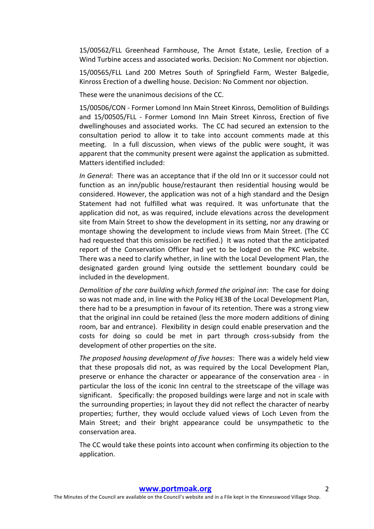15/00562/FLL Greenhead Farmhouse, The Arnot Estate, Leslie, Erection of a Wind Turbine access and associated works. Decision: No Comment nor objection.

15/00565/FLL Land 200 Metres South of Springfield Farm, Wester Balgedie, Kinross Erection of a dwelling house. Decision: No Comment nor objection.

These were the unanimous decisions of the CC.

15/00506/CON - Former Lomond Inn Main Street Kinross, Demolition of Buildings and 15/00505/FLL - Former Lomond Inn Main Street Kinross, Erection of five dwellinghouses and associated works. The CC had secured an extension to the consultation period to allow it to take into account comments made at this meeting. In a full discussion, when views of the public were sought, it was apparent that the community present were against the application as submitted. Matters identified included:

*In General*: There was an acceptance that if the old Inn or it successor could not function as an inn/public house/restaurant then residential housing would be considered. However, the application was not of a high standard and the Design Statement had not fulfilled what was required. It was unfortunate that the application did not, as was required, include elevations across the development site from Main Street to show the development in its setting, nor any drawing or montage showing the development to include views from Main Street. (The CC had requested that this omission be rectified.) It was noted that the anticipated report of the Conservation Officer had yet to be lodged on the PKC website. There was a need to clarify whether, in line with the Local Development Plan, the designated garden ground lying outside the settlement boundary could be included in the development.

*Demolition of the core building which formed the original inn:* The case for doing so was not made and, in line with the Policy HE3B of the Local Development Plan, there had to be a presumption in favour of its retention. There was a strong view that the original inn could be retained (less the more modern additions of dining room, bar and entrance). Flexibility in design could enable preservation and the costs for doing so could be met in part through cross-subsidy from the development of other properties on the site.

The proposed housing development of five houses: There was a widely held view that these proposals did not, as was required by the Local Development Plan, preserve or enhance the character or appearance of the conservation area - in particular the loss of the iconic Inn central to the streetscape of the village was significant. Specifically: the proposed buildings were large and not in scale with the surrounding properties; in layout they did not reflect the character of nearby properties; further, they would occlude valued views of Loch Leven from the Main Street; and their bright appearance could be unsympathetic to the conservation area.

The CC would take these points into account when confirming its objection to the application.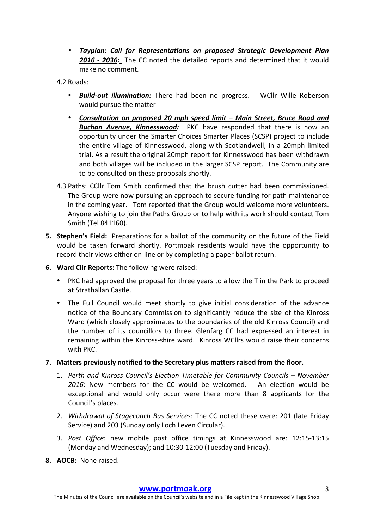• *Tayplan: Call for Representations on proposed Strategic Development Plan* **2016 - 2036:** The CC noted the detailed reports and determined that it would make no comment.

### 4.2 Roads:

- **Build-out illumination:** There had been no progress. WCllr Wille Roberson would pursue the matter
- *Consultation on proposed 20 mph speed limit – Main Street, Bruce Road and*  **Buchan Avenue, Kinnesswood:** PKC have responded that there is now an opportunity under the Smarter Choices Smarter Places (SCSP) project to include the entire village of Kinnesswood, along with Scotlandwell, in a 20mph limited trial. As a result the original 20mph report for Kinnesswood has been withdrawn and both villages will be included in the larger SCSP report. The Community are to be consulted on these proposals shortly.
- 4.3 Paths: CCllr Tom Smith confirmed that the brush cutter had been commissioned. The Group were now pursuing an approach to secure funding for path maintenance in the coming year. Tom reported that the Group would welcome more volunteers. Anyone wishing to join the Paths Group or to help with its work should contact Tom Smith (Tel 841160).
- **5. Stephen's Field:** Preparations for a ballot of the community on the future of the Field would be taken forward shortly. Portmoak residents would have the opportunity to record their views either on-line or by completing a paper ballot return.
- **6.** Ward Clir Reports: The following were raised:
	- PKC had approved the proposal for three years to allow the T in the Park to proceed at Strathallan Castle.
	- The Full Council would meet shortly to give initial consideration of the advance notice of the Boundary Commission to significantly reduce the size of the Kinross Ward (which closely approximates to the boundaries of the old Kinross Council) and the number of its councillors to three. Glenfarg CC had expressed an interest in remaining within the Kinross-shire ward. Kinross WCllrs would raise their concerns with PKC.
- **7.** Matters previously notified to the Secretary plus matters raised from the floor.
	- 1. *Perth and Kinross Council's Election Timetable for Community Councils November* 2016: New members for the CC would be welcomed. An election would be exceptional and would only occur were there more than 8 applicants for the Council's places.
	- 2. *Withdrawal of Stagecoach Bus Services*: The CC noted these were: 201 (late Friday Service) and 203 (Sunday only Loch Leven Circular).
	- 3. *Post Office*: new mobile post office timings at Kinnesswood are: 12:15-13:15 (Monday and Wednesday); and 10:30-12:00 (Tuesday and Friday).
- 8. AOCB: None raised.